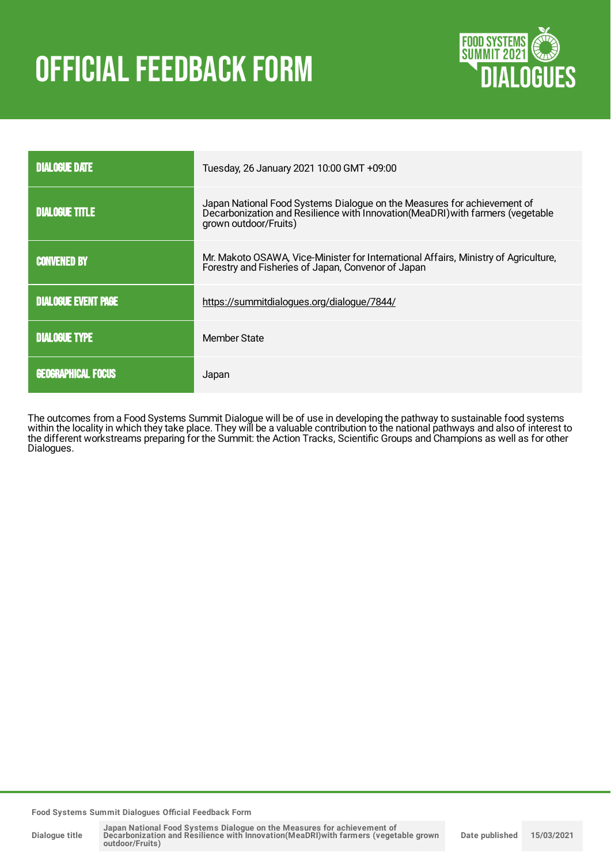# OFFICIAL FEEDBACK FORM



| <b>DIALOGUE DATE</b>                                                                                                                                            | Tuesday, 26 January 2021 10:00 GMT +09:00                                                                                                                                           |  |  |
|-----------------------------------------------------------------------------------------------------------------------------------------------------------------|-------------------------------------------------------------------------------------------------------------------------------------------------------------------------------------|--|--|
| <b>DIALOGUE TITLE</b>                                                                                                                                           | Japan National Food Systems Dialogue on the Measures for achievement of<br>Decarbonization and Resilience with Innovation (MeaDRI) with farmers (vegetable<br>grown outdoor/Fruits) |  |  |
| Mr. Makoto OSAWA, Vice-Minister for International Affairs, Ministry of Agriculture,<br><b>CONVENED BY</b><br>Forestry and Fisheries of Japan, Convenor of Japan |                                                                                                                                                                                     |  |  |
| <b>DIALOGUE EVENT PAGE</b>                                                                                                                                      | https://summitdialogues.org/dialogue/7844/                                                                                                                                          |  |  |
| <b>DIALOGUE TYPE</b>                                                                                                                                            | Member State                                                                                                                                                                        |  |  |
| <b>GEOGRAPHICAL FOCUS</b>                                                                                                                                       | Japan                                                                                                                                                                               |  |  |

The outcomes from a Food Systems Summit Dialogue will be of use in developing the pathway to sustainable food systems within the locality in which they take place. They will be a valuable contribution to the national pathways and also of interest to the different workstreams preparing for the Summit: the Action Tracks, Scientific Groups and Champions as well as for other Dialogues.

**Food Systems Summit Dialogues Official Feedback Form**

**Dialogue title**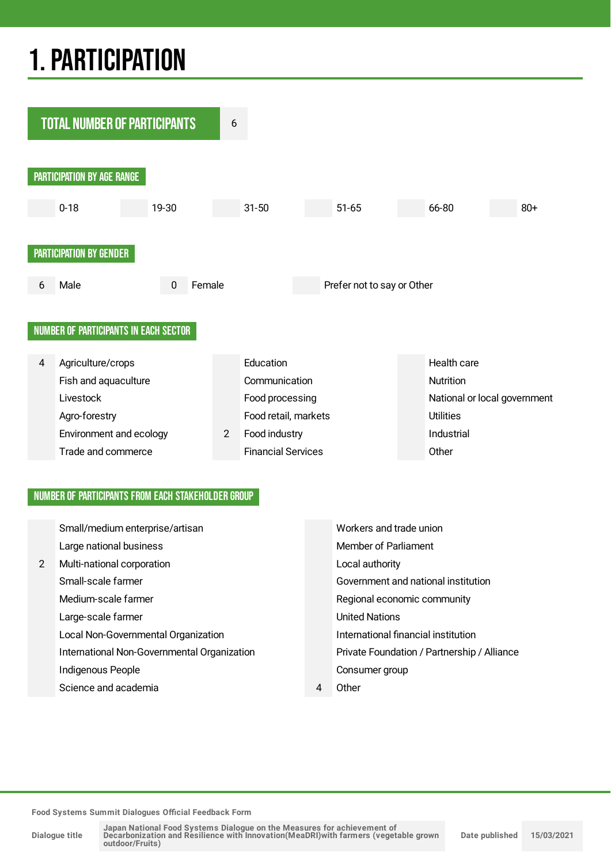# 1.PARTICIPATION



### NUMBER OF PARTICIPANTS FROM EACH STAKEHOLDER GROUP

|   | Small/medium enterprise/artisan             | Workers and trade union                     |
|---|---------------------------------------------|---------------------------------------------|
|   | Large national business                     | <b>Member of Parliament</b>                 |
| 2 | Multi-national corporation                  | Local authority                             |
|   | Small-scale farmer                          | Government and national institution         |
|   | Medium-scale farmer                         | Regional economic community                 |
|   | Large-scale farmer                          | <b>United Nations</b>                       |
|   | Local Non-Governmental Organization         | International financial institution         |
|   | International Non-Governmental Organization | Private Foundation / Partnership / Alliance |
|   | Indigenous People                           | Consumer group                              |
|   | Science and academia                        | Other                                       |

**Food Systems Summit Dialogues Official Feedback Form**

**Dialogue title**

Japan National Food Systems Dialogue on the Measures for achievement of<br>Decarbonization and Resilience with Innovation(MeaDRI)with farmers (vegetable grown **outdoor/Fruits)**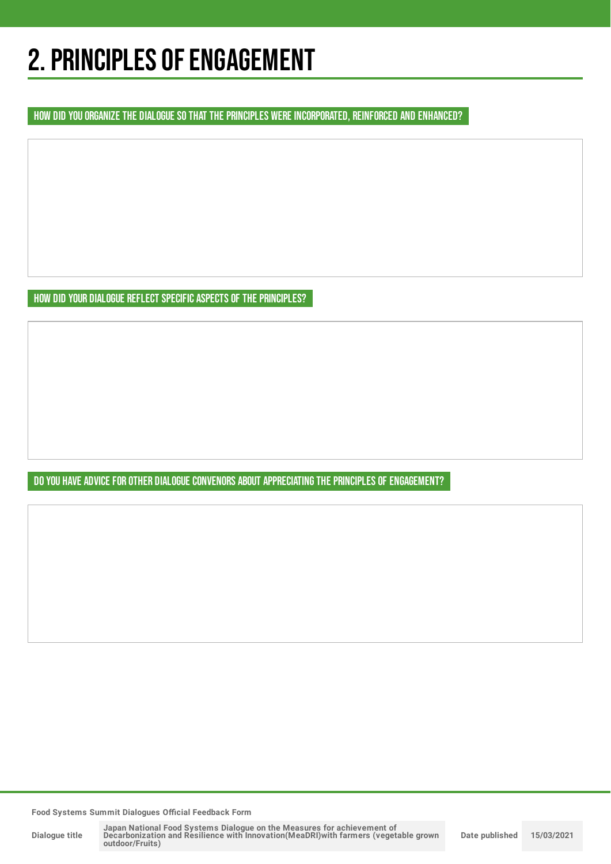## 2. PRINCIPLES OF ENGAGEMENT

HOW DID YOU ORGANIZE THE DIALOGUE SO THAT THE PRINCIPLES WERE INCORPORATED, REINFORCED AND ENHANCED?

HOW DID YOUR DIALOGUE REFLECT SPECIFIC ASPECTS OF THE PRINCIPLES?

DO YOU HAVE ADVICE FOR OTHER DIALOGUE CONVENORS ABOUT APPRECIATING THE PRINCIPLES OF ENGAGEMENT?

**Food Systems Summit Dialogues Official Feedback Form**

**Dialogue title**

Japan National Food Systems Dialogue on the Measures for achievement of<br>Decarbonization and Resilience with Innovation(MeaDRI)with farmers (vegetable grown **outdoor/Fruits) Date published 15/03/2021**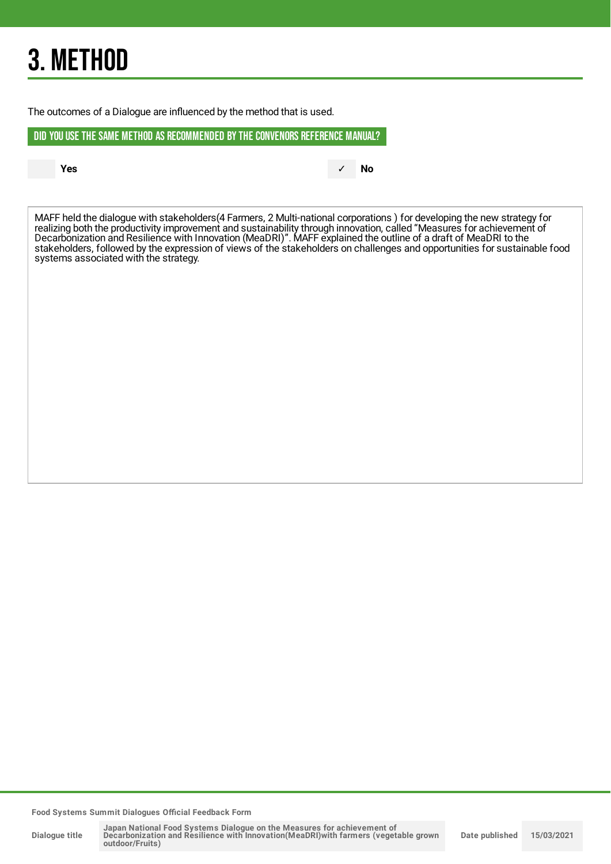# 3. METHOD

The outcomes of a Dialogue are influenced by the method that is used.

DID YOU USE THE SAME METHOD AS RECOMMENDED BYTHE CONVENORS REFERENCE MANUAL?

**Yes** ✓ **No**

MAFF held the dialogue with stakeholders(4 Farmers, 2 Multi-national corporations ) for developing the new strategy for realizing both the productivity improvement and sustainability through innovation, called "Measures for achievement of Decarbonization and Resilience with Innovation (MeaDRI)". MAFF explained the outline of a draft of MeaDRI to the stakeholders, followed by the expression of views of the stakeholders on challenges and opportunities for sustainable food systems associated with the strategy.

**Food Systems Summit Dialogues Official Feedback Form**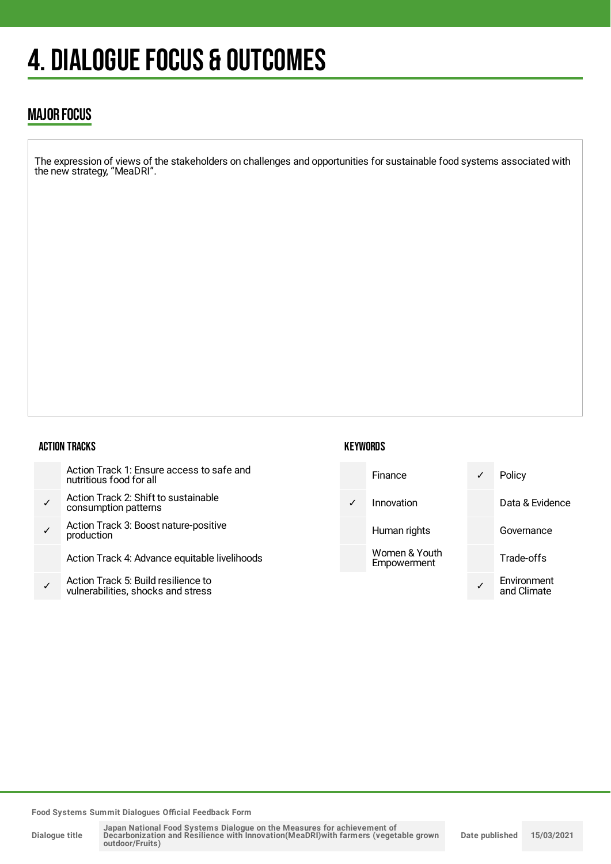# 4. DIALOGUE FOCUS & OUTCOMES

## MAJOR FOCUS

The expression of views of the stakeholders on challenges and opportunities for sustainable food systems associated with the new strategy, "MeaDRI".

### ACTION TRACKS

|              | Action Track 1: Ensure access to safe and<br>nutritious food for all      |
|--------------|---------------------------------------------------------------------------|
| $\checkmark$ | Action Track 2: Shift to sustainable<br>consumption patterns              |
| ✓            | Action Track 3: Boost nature-positive<br>production                       |
|              | Action Track 4: Advance equitable livelihoods                             |
|              | Action Track 5: Build resilience to<br>vulnerabilities, shocks and stress |

## **KEYWORDS**



**Food Systems Summit Dialogues Official Feedback Form**

**Dialogue title**

Japan National Food Systems Dialogue on the Measures for achievement of<br>Decarbonization and Resilience with Innovation(MeaDRI)with farmers (vegetable grown **outdoor/Fruits) Date published 15/03/2021**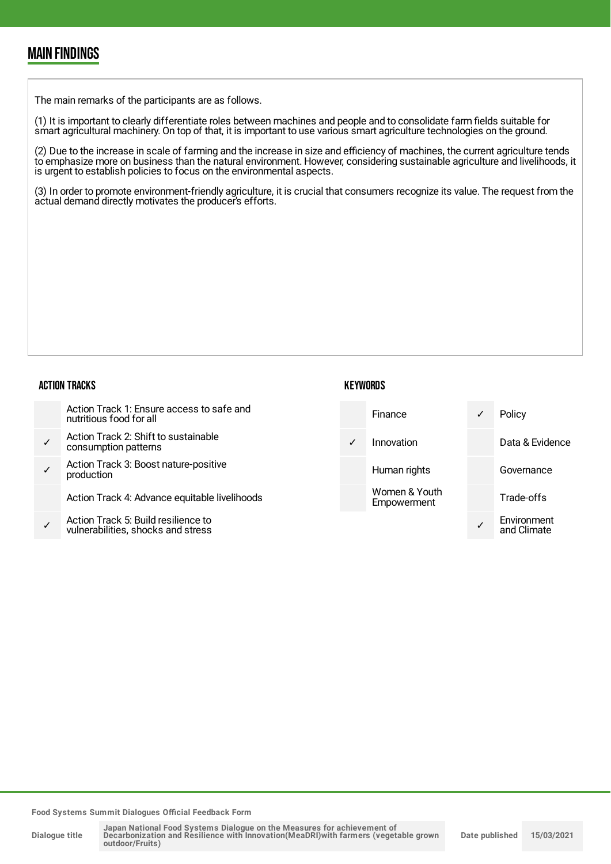## MAIN FINDINGS

The main remarks of the participants are as follows.

(1) It is important to clearly differentiate roles between machines and people and to consolidate farm fields suitable for smart agricultural machinery. On top of that, it is important to use various smart agriculture technologies on the ground.

(2) Due to the increase in scale of farming and the increase in size and efficiency of machines, the current agriculture tends to emphasize more on business than the natural environment. However, considering sustainable agriculture and livelihoods, it is urgent to establish policies to focus on the environmental aspects.

(3) In order to promote environment-friendly agriculture, it is crucial that consumers recognize its value. The request from the actual demand directly motivates the producer's efforts.

### ACTION TRACKS

#### **KEYWORDS**

| Action Track 1: Ensure access to safe and<br>nutritious food for all      |            | Finance                      | $\checkmark$ | Policy                     |
|---------------------------------------------------------------------------|------------|------------------------------|--------------|----------------------------|
| Action Track 2: Shift to sustainable<br>consumption patterns              | $\sqrt{2}$ | Innovation                   |              | Data & Evidence            |
| Action Track 3: Boost nature-positive<br>production                       |            | Human rights                 |              | Governance                 |
| Action Track 4: Advance equitable livelihoods                             |            | Women & Youth<br>Empowerment |              | Trade-offs                 |
| Action Track 5: Build resilience to<br>vulnerabilities, shocks and stress |            |                              |              | Environment<br>and Climate |

**Food Systems Summit Dialogues Official Feedback Form**

**Dialogue title**

Japan National Food Systems Dialogue on the Measures for achievement of<br>Decarbonization and Resilience with Innovation(MeaDRI)with farmers (vegetable grown **outdoor/Fruits) Date published 15/03/2021**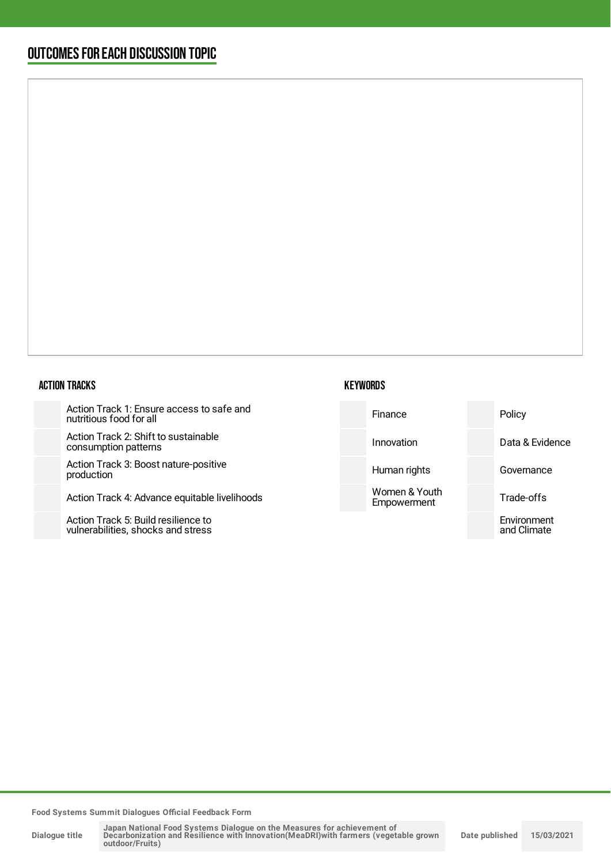## OUTCOMESFOR EACH DISCUSSION TOPIC

### ACTION TRACKS

Action Track 1: Ensure access to s nutritious food for all

Action Track 2: Shift to sustainable consumption patterns

Action Track 3: Boost nature-positi production

Action Track 4: Advance equitable

Action Track 5: Build resilience to vulnerabilities, shocks and stress

| <b>KEYWORDS</b> |  |
|-----------------|--|
|-----------------|--|

| afe and:    | Finance                      | Policy                     |
|-------------|------------------------------|----------------------------|
| €           | Innovation                   | Data & Evidence            |
| ive         | Human rights                 | Governance                 |
| livelihoods | Women & Youth<br>Empowerment | Trade-offs                 |
|             |                              | Environment<br>and Climate |
|             |                              |                            |

**Food Systems Summit Dialogues Official Feedback Form**

**Dialogue title**

Japan National Food Systems Dialogue on the Measures for achievement of<br>Decarbonization and Resilience with Innovation(MeaDRI)with farmers (vegetable grown<br>outdoor/Fruits) **Date published 15/03/2021**